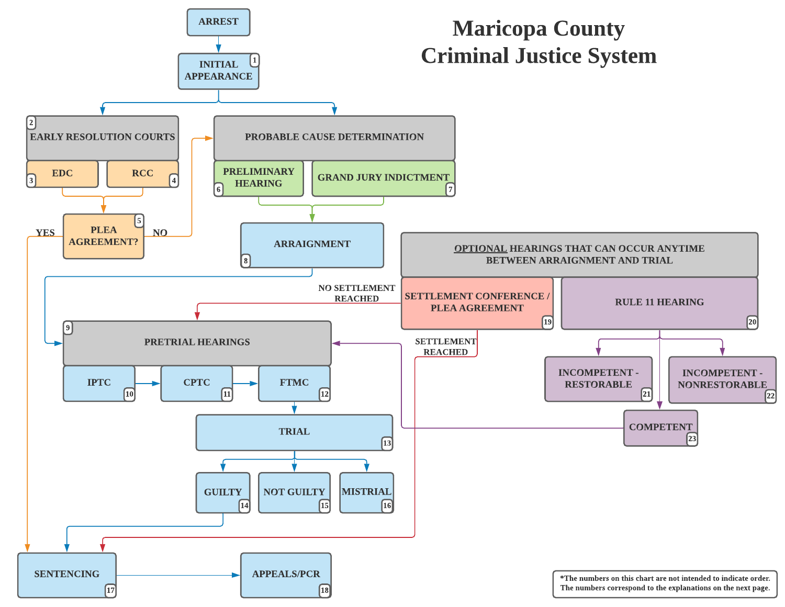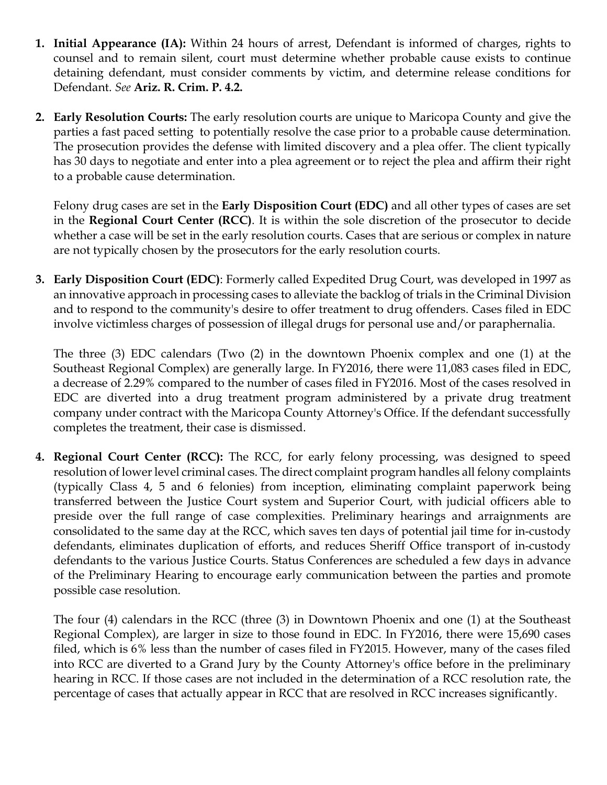- <span id="page-1-0"></span>**1. Initial Appearance (IA):** Within 24 hours of arrest, Defendant is informed of charges, rights to counsel and to remain silent, court must determine whether probable cause exists to continue detaining defendant, must consider comments by victim, and determine release conditions for Defendant. *See* **Ariz. R. Crim. P. 4.2.**
- **2. Early Resolution Courts:** The early resolution courts are unique to Maricopa County and give the parties a fast paced setting to potentially resolve the case prior to a probable cause determination. The prosecution provides the defense with limited discovery and a plea offer. The client typically has 30 days to negotiate and enter into a plea agreement or to reject the plea and affirm their right to a probable cause determination.

Felony drug cases are set in the **Early Disposition Court (EDC)** and all other types of cases are set in the **Regional Court Center (RCC)**. It is within the sole discretion of the prosecutor to decide whether a case will be set in the early resolution courts. Cases that are serious or complex in nature are not typically chosen by the prosecutors for the early resolution courts.

**3. Early Disposition Court (EDC)**: Formerly called Expedited Drug Court, was developed in 1997 as an innovative approach in processing cases to alleviate the backlog of trials in the Criminal Division and to respond to the community's desire to offer treatment to drug offenders. Cases filed in EDC involve victimless charges of possession of illegal drugs for personal use and/or paraphernalia.

The three (3) EDC calendars (Two (2) in the downtown Phoenix complex and one (1) at the Southeast Regional Complex) are generally large. In FY2016, there were 11,083 cases filed in EDC, a decrease of 2.29% compared to the number of cases filed in FY2016. Most of the cases resolved in EDC are diverted into a drug treatment program administered by a private drug treatment company under contract with the Maricopa County Attorney's Office. If the defendant successfully completes the treatment, their case is dismissed.

**4. Regional Court Center (RCC):** The RCC, for early felony processing, was designed to speed resolution of lower level criminal cases. The direct complaint program handles all felony complaints (typically Class 4, 5 and 6 felonies) from inception, eliminating complaint paperwork being transferred between the Justice Court system and Superior Court, with judicial officers able to preside over the full range of case complexities. Preliminary hearings and arraignments are consolidated to the same day at the RCC, which saves ten days of potential jail time for in-custody defendants, eliminates duplication of efforts, and reduces Sheriff Office transport of in-custody defendants to the various Justice Courts. Status Conferences are scheduled a few days in advance of the Preliminary Hearing to encourage early communication between the parties and promote possible case resolution.

The four (4) calendars in the RCC (three (3) in Downtown Phoenix and one (1) at the Southeast Regional Complex), are larger in size to those found in EDC. In FY2016, there were 15,690 cases filed, which is 6% less than the number of cases filed in FY2015. However, many of the cases filed into RCC are diverted to a Grand Jury by the County Attorney's office before in the preliminary hearing in RCC. If those cases are not included in the determination of a RCC resolution rate, the percentage of cases that actually appear in RCC that are resolved in RCC increases significantly.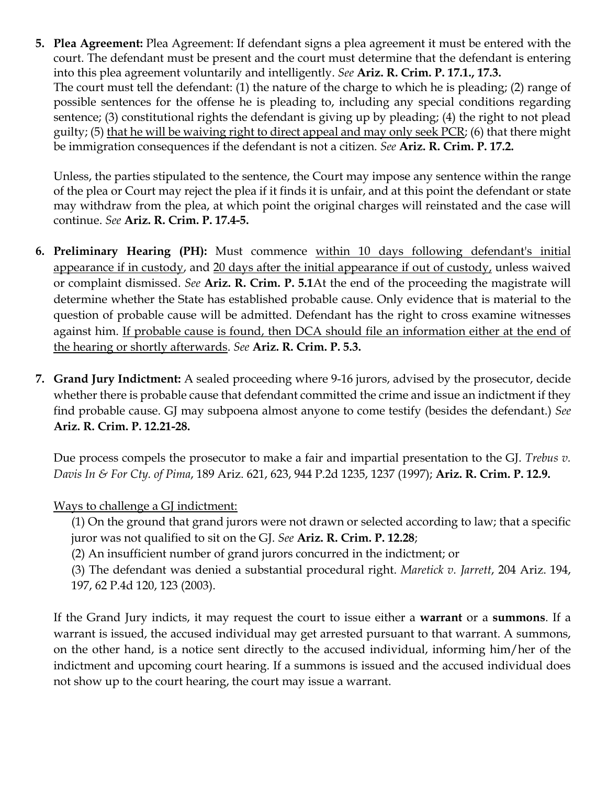<span id="page-2-0"></span>**5. Plea Agreement:** Plea Agreement: If defendant signs a plea agreement it must be entered with the court. The defendant must be present and the court must determine that the defendant is entering into this plea agreement voluntarily and intelligently. *See* **Ariz. R. Crim. P. 17.1., 17.3.** The court must tell the defendant: (1) the nature of the charge to which he is pleading; (2) range of possible sentences for the offense he is pleading to, including any special conditions regarding sentence; (3) constitutional rights the defendant is giving up by pleading; (4) the right to not plead guilty; (5) that he will be waiving right to direct appeal and may only seek PCR; (6) that there might be immigration consequences if the defendant is not a citizen. *See* **Ariz. R. Crim. P. 17.2.**

Unless, the parties stipulated to the sentence, the Court may impose any sentence within the range of the plea or Court may reject the plea if it finds it is unfair, and at this point the defendant or state may withdraw from the plea, at which point the original charges will reinstated and the case will continue. *See* **Ariz. R. Crim. P. 17.4-5.**

- **6. Preliminary Hearing (PH):** Must commence within 10 days following defendant's initial appearance if in custody, and 20 days after the initial appearance if out of custody, unless waived or complaint dismissed. *See* **Ariz. R. Crim. P. 5.1**At the end of the proceeding the magistrate will determine whether the State has established probable cause. Only evidence that is material to the question of probable cause will be admitted. Defendant has the right to cross examine witnesses against him. If probable cause is found, then DCA should file an information either at the end of the hearing or shortly afterwards. *See* **Ariz. R. Crim. P. 5.3.**
- **7. Grand Jury Indictment:** A sealed proceeding where 9-16 jurors, advised by the prosecutor, decide whether there is probable cause that defendant committed the crime and issue an indictment if they find probable cause. GJ may subpoena almost anyone to come testify (besides the defendant.) *See* **Ariz. R. Crim. P. 12.21-28.**

Due process compels the prosecutor to make a fair and impartial presentation to the GJ. *Trebus v. Davis In & For Cty. of Pima*, 189 Ariz. 621, 623, 944 P.2d 1235, 1237 (1997); **Ariz. R. Crim. P. 12.9.**

## Ways to challenge a GJ indictment:

(1) On the ground that grand jurors were not drawn or selected according to law; that a specific juror was not qualified to sit on the GJ. *See* **Ariz. R. Crim. P. 12.28**;

(2) An insufficient number of grand jurors concurred in the indictment; or

(3) The defendant was denied a substantial procedural right. *Maretick v. Jarrett*, 204 Ariz. 194, 197, 62 P.4d 120, 123 (2003).

If the Grand Jury indicts, it may request the court to issue either a **warrant** or a **summons**. If a warrant is issued, the accused individual may get arrested pursuant to that warrant. A summons, on the other hand, is a notice sent directly to the accused individual, informing him/her of the indictment and upcoming court hearing. If a summons is issued and the accused individual does not show up to the court hearing, the court may issue a warrant.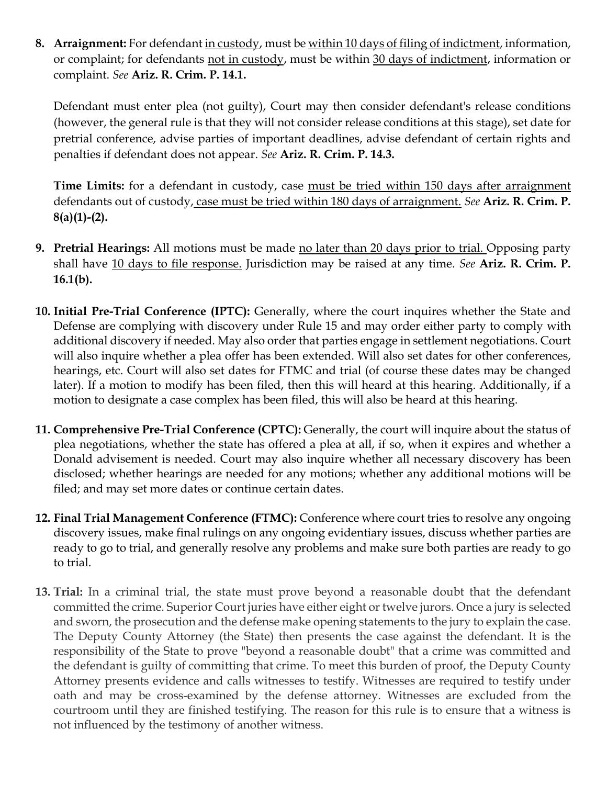<span id="page-3-0"></span>**8. Arraignment:** For defendant in custody, must be within 10 days of filing of indictment, information, or complaint; for defendants not in custody, must be within 30 days of indictment, information or complaint. *See* **Ariz. R. Crim. P. 14.1.**

Defendant must enter plea (not guilty), Court may then consider defendant's release conditions (however, the general rule is that they will not consider release conditions at this stage), set date for pretrial conference, advise parties of important deadlines, advise defendant of certain rights and penalties if defendant does not appear. *See* **Ariz. R. Crim. P. 14.3.** 

**Time Limits:** for a defendant in custody, case must be tried within 150 days after arraignment defendants out of custody, case must be tried within 180 days of arraignment. *See* **Ariz. R. Crim. P. 8(a)(1)-(2).** 

- **9. Pretrial Hearings:** All motions must be made no later than 20 days prior to trial. Opposing party shall have 10 days to file response. Jurisdiction may be raised at any time. *See* **Ariz. R. Crim. P. 16.1(b).**
- **10. Initial Pre-Trial Conference (IPTC):** Generally, where the court inquires whether the State and Defense are complying with discovery under Rule 15 and may order either party to comply with additional discovery if needed. May also order that parties engage in settlement negotiations. Court will also inquire whether a plea offer has been extended. Will also set dates for other conferences, hearings, etc. Court will also set dates for FTMC and trial (of course these dates may be changed later). If a motion to modify has been filed, then this will heard at this hearing. Additionally, if a motion to designate a case complex has been filed, this will also be heard at this hearing.
- **11. Comprehensive Pre-Trial Conference (CPTC):** Generally, the court will inquire about the status of plea negotiations, whether the state has offered a plea at all, if so, when it expires and whether a Donald advisement is needed. Court may also inquire whether all necessary discovery has been disclosed; whether hearings are needed for any motions; whether any additional motions will be filed; and may set more dates or continue certain dates.
- **12. Final Trial Management Conference (FTMC):** Conference where court tries to resolve any ongoing discovery issues, make final rulings on any ongoing evidentiary issues, discuss whether parties are ready to go to trial, and generally resolve any problems and make sure both parties are ready to go to trial.
- **13. Trial:** In a criminal trial, the state must prove beyond a reasonable doubt that the defendant committed the crime. Superior Court juries have either eight or twelve jurors. Once a jury is selected and sworn, the prosecution and the defense make opening statements to the jury to explain the case. The Deputy County Attorney (the State) then presents the case against the defendant. It is the responsibility of the State to prove "beyond a reasonable doubt" that a crime was committed and the defendant is guilty of committing that crime. To meet this burden of proof, the Deputy County Attorney presents evidence and calls witnesses to testify. Witnesses are required to testify under oath and may be cross-examined by the defense attorney. Witnesses are excluded from the courtroom until they are finished testifying. The reason for this rule is to ensure that a witness is not influenced by the testimony of another witness.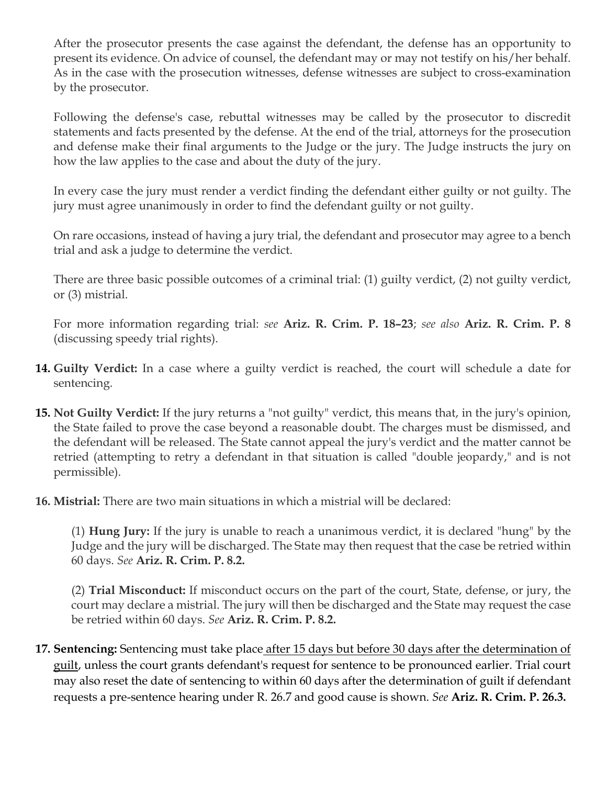<span id="page-4-0"></span>After the prosecutor presents the case against the defendant, the defense has an opportunity to present its evidence. On advice of counsel, the defendant may or may not testify on his/her behalf. As in the case with the prosecution witnesses, defense witnesses are subject to cross-examination by the prosecutor.

Following the defense's case, rebuttal witnesses may be called by the prosecutor to discredit statements and facts presented by the defense. At the end of the trial, attorneys for the prosecution and defense make their final arguments to the Judge or the jury. The Judge instructs the jury on how the law applies to the case and about the duty of the jury.

In every case the jury must render a verdict finding the defendant either guilty or not guilty. The jury must agree unanimously in order to find the defendant guilty or not guilty.

On rare occasions, instead of having a jury trial, the defendant and prosecutor may agree to a bench trial and ask a judge to determine the verdict.

There are three basic possible outcomes of a criminal trial: (1) guilty verdict, (2) not guilty verdict, or (3) mistrial.

For more information regarding trial: *see* **Ariz. R. Crim. P. 18–23**; *see also* **Ariz. R. Crim. P. 8**  (discussing speedy trial rights).

- **14. Guilty Verdict:** In a case where a guilty verdict is reached, the court will schedule a date for sentencing.
- **15. Not Guilty Verdict:** If the jury returns a "not guilty" verdict, this means that, in the jury's opinion, the State failed to prove the case beyond a reasonable doubt. The charges must be dismissed, and the defendant will be released. The State cannot appeal the jury's verdict and the matter cannot be retried (attempting to retry a defendant in that situation is called "double jeopardy," and is not permissible).
- **16. Mistrial:** There are two main situations in which a mistrial will be declared:

(1) **Hung Jury:** If the jury is unable to reach a unanimous verdict, it is declared "hung" by the Judge and the jury will be discharged. The State may then request that the case be retried within 60 days. *See* **Ariz. R. Crim. P. 8.2.**

(2) **Trial Misconduct:** If misconduct occurs on the part of the court, State, defense, or jury, the court may declare a mistrial. The jury will then be discharged and the State may request the case be retried within 60 days. *See* **Ariz. R. Crim. P. 8.2.**

**17. Sentencing:** Sentencing must take place after 15 days but before 30 days after the determination of guilt, unless the court grants defendant's request for sentence to be pronounced earlier. Trial court may also reset the date of sentencing to within 60 days after the determination of guilt if defendant requests a pre-sentence hearing under R. 26.7 and good cause is shown. *See* **Ariz. R. Crim. P. 26.3.**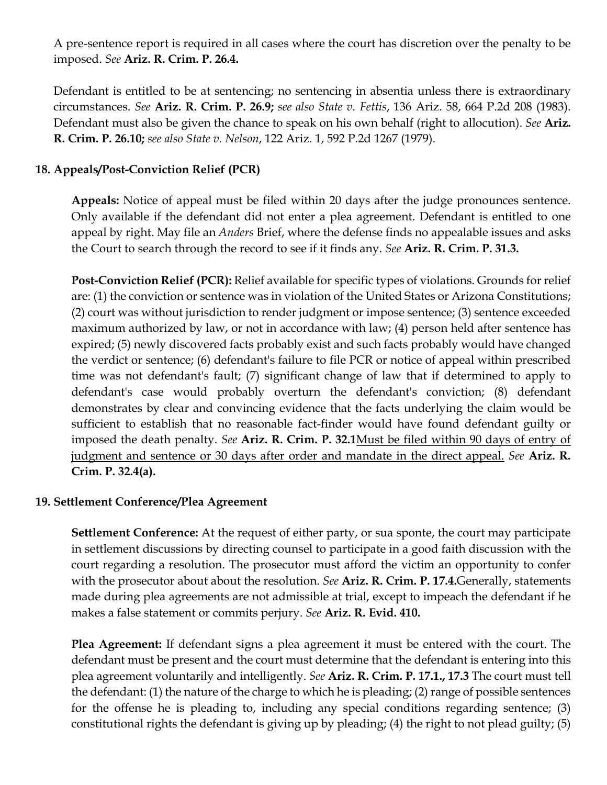<span id="page-5-0"></span>A pre-sentence report is required in all cases where the court has discretion over the penalty to be imposed. *See* **Ariz. R. Crim. P. 26.4.** 

Defendant is entitled to be at sentencing; no sentencing in absentia unless there is extraordinary circumstances. *See* **Ariz. R. Crim. P. 26.9;** *see also State v. Fettis*, 136 Ariz. 58, 664 P.2d 208 (1983). Defendant must also be given the chance to speak on his own behalf (right to allocution). *See* **Ariz. R. Crim. P. 26.10;** *see also State v. Nelson*, 122 Ariz. 1, 592 P.2d 1267 (1979).

## **18. Appeals/Post-Conviction Relief (PCR)**

**Appeals:** Notice of appeal must be filed within 20 days after the judge pronounces sentence. Only available if the defendant did not enter a plea agreement. Defendant is entitled to one appeal by right. May file an *Anders* Brief, where the defense finds no appealable issues and asks the Court to search through the record to see if it finds any. *See* **Ariz. R. Crim. P. 31.3.** 

**Post-Conviction Relief (PCR):** Relief available for specific types of violations. Grounds for relief are: (1) the conviction or sentence was in violation of the United States or Arizona Constitutions; (2) court was without jurisdiction to render judgment or impose sentence; (3) sentence exceeded maximum authorized by law, or not in accordance with law; (4) person held after sentence has expired; (5) newly discovered facts probably exist and such facts probably would have changed the verdict or sentence; (6) defendant's failure to file PCR or notice of appeal within prescribed time was not defendant's fault; (7) significant change of law that if determined to apply to defendant's case would probably overturn the defendant's conviction; (8) defendant demonstrates by clear and convincing evidence that the facts underlying the claim would be sufficient to establish that no reasonable fact-finder would have found defendant guilty or imposed the death penalty. *See* **Ariz. R. Crim. P. 32.1**Must be filed within 90 days of entry of judgment and sentence or 30 days after order and mandate in the direct appeal. *See* **Ariz. R. Crim. P. 32.4(a).** 

## **19. Settlement Conference/Plea Agreement**

**Settlement Conference:** At the request of either party, or sua sponte, the court may participate in settlement discussions by directing counsel to participate in a good faith discussion with the court regarding a resolution. The prosecutor must afford the victim an opportunity to confer with the prosecutor about about the resolution. *See* **Ariz. R. Crim. P. 17.4.**Generally, statements made during plea agreements are not admissible at trial, except to impeach the defendant if he makes a false statement or commits perjury. *See* **Ariz. R. Evid. 410.** 

**Plea Agreement:** If defendant signs a plea agreement it must be entered with the court. The defendant must be present and the court must determine that the defendant is entering into this plea agreement voluntarily and intelligently. *See* **Ariz. R. Crim. P. 17.1., 17.3** The court must tell the defendant: (1) the nature of the charge to which he is pleading; (2) range of possible sentences for the offense he is pleading to, including any special conditions regarding sentence; (3) constitutional rights the defendant is giving up by pleading; (4) the right to not plead guilty; (5)